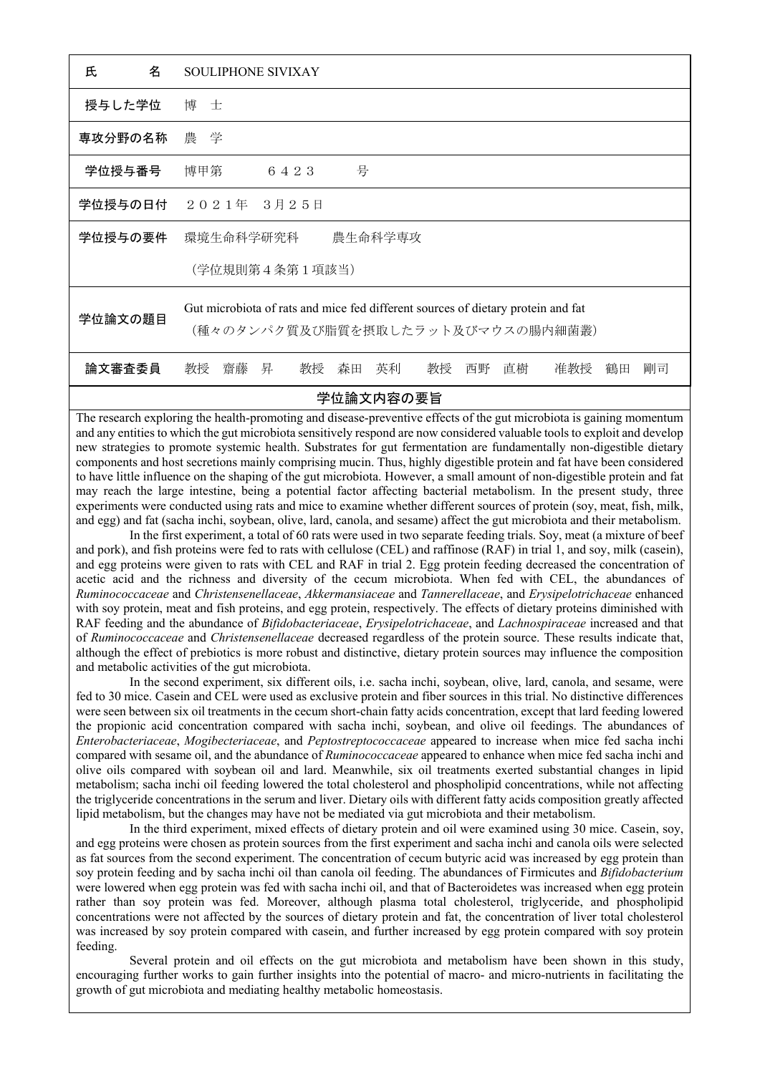| 氏<br>名      | <b>SOULIPHONE SIVIXAY</b>                                                                                             |
|-------------|-----------------------------------------------------------------------------------------------------------------------|
| 授与した学位      | 博士                                                                                                                    |
| 専攻分野の名称 農 学 |                                                                                                                       |
| 学位授与番号      | 号<br>博甲第<br>6423                                                                                                      |
|             | 学位授与の日付 2021年 3月25日                                                                                                   |
| 学位授与の要件     | 環境生命科学研究科<br>農生命科学専攻                                                                                                  |
|             | (学位規則第4条第1項該当)                                                                                                        |
| 学位論文の題目     | Gut microbiota of rats and mice fed different sources of dietary protein and fat<br>(種々のタンパク質及び脂質を摂取したラット及びマウスの腸内細菌叢) |
| 論文審査委員      | 教授<br>教授<br>齋藤 昇<br>英利<br>直樹<br>准教授<br>教授<br>森田<br>西野<br>鶴田<br>剛司                                                     |
| 学位論文内容の要旨   |                                                                                                                       |

The research exploring the health-promoting and disease-preventive effects of the gut microbiota is gaining momentum and any entities to which the gut microbiota sensitively respond are now considered valuable tools to exploit and develop new strategies to promote systemic health. Substrates for gut fermentation are fundamentally non-digestible dietary components and host secretions mainly comprising mucin. Thus, highly digestible protein and fat have been considered to have little influence on the shaping of the gut microbiota. However, a small amount of non-digestible protein and fat may reach the large intestine, being a potential factor affecting bacterial metabolism. In the present study, three experiments were conducted using rats and mice to examine whether different sources of protein (soy, meat, fish, milk, and egg) and fat (sacha inchi, soybean, olive, lard, canola, and sesame) affect the gut microbiota and their metabolism.

 In the first experiment, a total of 60 rats were used in two separate feeding trials. Soy, meat (a mixture of beef and pork), and fish proteins were fed to rats with cellulose (CEL) and raffinose (RAF) in trial 1, and soy, milk (casein), and egg proteins were given to rats with CEL and RAF in trial 2. Egg protein feeding decreased the concentration of acetic acid and the richness and diversity of the cecum microbiota. When fed with CEL, the abundances of *Ruminococcaceae* and *Christensenellaceae*, *Akkermansiaceae* and *Tannerellaceae*, and *Erysipelotrichaceae* enhanced with soy protein, meat and fish proteins, and egg protein, respectively. The effects of dietary proteins diminished with RAF feeding and the abundance of *Bifidobacteriaceae*, *Erysipelotrichaceae*, and *Lachnospiraceae* increased and that of *Ruminococcaceae* and *Christensenellaceae* decreased regardless of the protein source. These results indicate that, although the effect of prebiotics is more robust and distinctive, dietary protein sources may influence the composition and metabolic activities of the gut microbiota.

 In the second experiment, six different oils, i.e. sacha inchi, soybean, olive, lard, canola, and sesame, were fed to 30 mice. Casein and CEL were used as exclusive protein and fiber sources in this trial. No distinctive differences were seen between six oil treatments in the cecum short-chain fatty acids concentration, except that lard feeding lowered the propionic acid concentration compared with sacha inchi, soybean, and olive oil feedings. The abundances of *Enterobacteriaceae*, *Mogibecteriaceae*, and *Peptostreptococcaceae* appeared to increase when mice fed sacha inchi compared with sesame oil, and the abundance of *Ruminococcaceae* appeared to enhance when mice fed sacha inchi and olive oils compared with soybean oil and lard. Meanwhile, six oil treatments exerted substantial changes in lipid metabolism; sacha inchi oil feeding lowered the total cholesterol and phospholipid concentrations, while not affecting the triglyceride concentrations in the serum and liver. Dietary oils with different fatty acids composition greatly affected lipid metabolism, but the changes may have not be mediated via gut microbiota and their metabolism.

 In the third experiment, mixed effects of dietary protein and oil were examined using 30 mice. Casein, soy, and egg proteins were chosen as protein sources from the first experiment and sacha inchi and canola oils were selected as fat sources from the second experiment. The concentration of cecum butyric acid was increased by egg protein than soy protein feeding and by sacha inchi oil than canola oil feeding. The abundances of Firmicutes and *Bifidobacterium* were lowered when egg protein was fed with sacha inchi oil, and that of Bacteroidetes was increased when egg protein rather than soy protein was fed. Moreover, although plasma total cholesterol, triglyceride, and phospholipid concentrations were not affected by the sources of dietary protein and fat, the concentration of liver total cholesterol was increased by soy protein compared with casein, and further increased by egg protein compared with soy protein feeding.

 Several protein and oil effects on the gut microbiota and metabolism have been shown in this study, encouraging further works to gain further insights into the potential of macro- and micro-nutrients in facilitating the growth of gut microbiota and mediating healthy metabolic homeostasis.